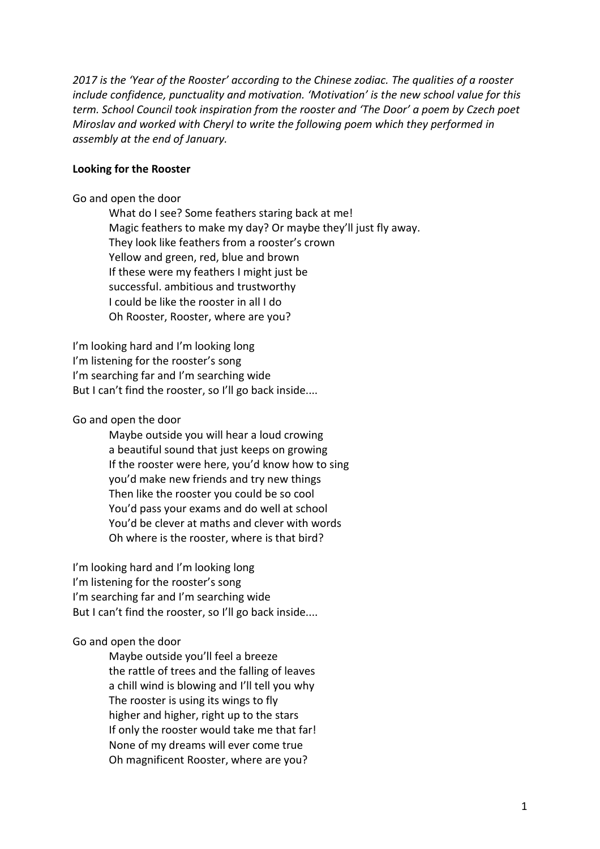*2017 is the 'Year of the Rooster' according to the Chinese zodiac. The qualities of a rooster include confidence, punctuality and motivation. 'Motivation' is the new school value for this term. School Council took inspiration from the rooster and 'The Door' a poem by Czech poet Miroslav and worked with Cheryl to write the following poem which they performed in assembly at the end of January.*

## **Looking for the Rooster**

Go and open the door

What do I see? Some feathers staring back at me! Magic feathers to make my day? Or maybe they'll just fly away. They look like feathers from a rooster's crown Yellow and green, red, blue and brown If these were my feathers I might just be successful. ambitious and trustworthy I could be like the rooster in all I do Oh Rooster, Rooster, where are you?

I'm looking hard and I'm looking long I'm listening for the rooster's song I'm searching far and I'm searching wide But I can't find the rooster, so I'll go back inside....

Go and open the door

Maybe outside you will hear a loud crowing a beautiful sound that just keeps on growing If the rooster were here, you'd know how to sing you'd make new friends and try new things Then like the rooster you could be so cool You'd pass your exams and do well at school You'd be clever at maths and clever with words Oh where is the rooster, where is that bird?

I'm looking hard and I'm looking long I'm listening for the rooster's song I'm searching far and I'm searching wide But I can't find the rooster, so I'll go back inside....

## Go and open the door

Maybe outside you'll feel a breeze the rattle of trees and the falling of leaves a chill wind is blowing and I'll tell you why The rooster is using its wings to fly higher and higher, right up to the stars If only the rooster would take me that far! None of my dreams will ever come true Oh magnificent Rooster, where are you?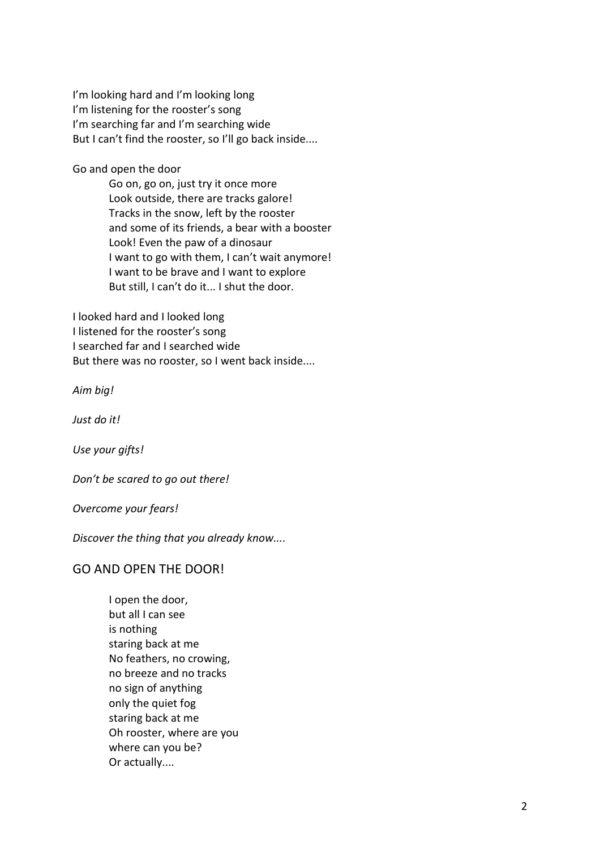I'm looking hard and I'm looking long I'm listening for the rooster's song I'm searching far and I'm searching wide But I can't find the rooster, so I'll go back inside....

Go and open the door

Go on, go on, just try it once more Look outside, there are tracks galore! Tracks in the snow, left by the rooster and some of its friends, a bear with a booster Look! Even the paw of a dinosaur I want to go with them, I can't wait anymore! I want to be brave and I want to explore But still, I can't do it... I shut the door.

I looked hard and I looked long I listened for the rooster's song I searched far and I searched wide But there was no rooster, so I went back inside....

*Aim big!*

*Just do it!*

*Use your gifts!*

*Don't be scared to go out there!*

*Overcome your fears!*

*Discover the thing that you already know....*

## GO AND OPEN THE DOOR!

I open the door, but all I can see is nothing staring back at me No feathers, no crowing, no breeze and no tracks no sign of anything only the quiet fog staring back at me Oh rooster, where are you where can you be? Or actually....